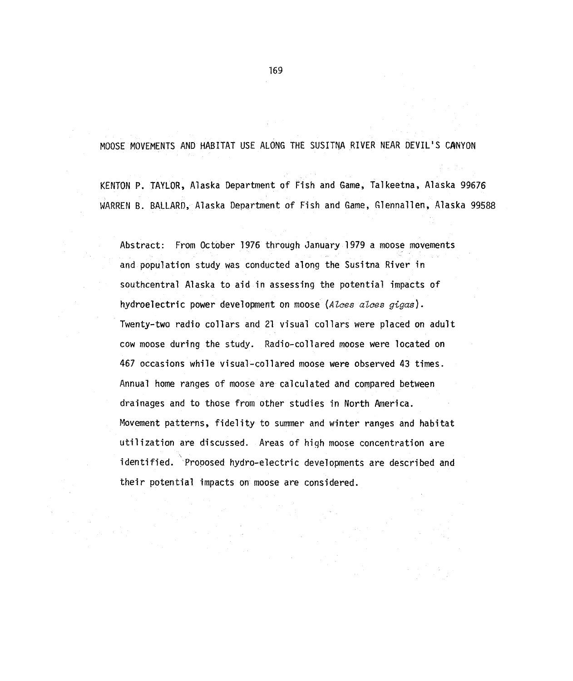MOOSE MOVEMENTS AND HABITAT USE ALONG THE SUSITNA RIVER NEAR DEVIL'S CANYON

KENTON P. TAYLOR, Alaska Department of Fish and Game, Talkeetna, Alaska 99676 WARREN B. BALLARD, Alaska Department of Fish and Game, Glennallen, Alaska 99588

Abstract: From October 1976 through January 1979 a moose movements and population study was conducted along the Susitna River in southcentral Alaska to aid in assessing the potential impacts of hydroelectric power development on moose (Alces alces gigas). Twenty-two radio collars and 21 visual collars were placed on adult cow moose during the study. Radio-collared moose were located on 467 occasions while visual-collared moose were observed 43 times. Annual home ranges of moose are calculated and compared between drainages and to those from other studies in North America. Movement patterns, fidelity to summer and winter ranges and habitat utilization are discussed. Areas of hiqh moose concentration are identified. 'Proposed hydro-electric developments are described and their potential impacts on moose are considered.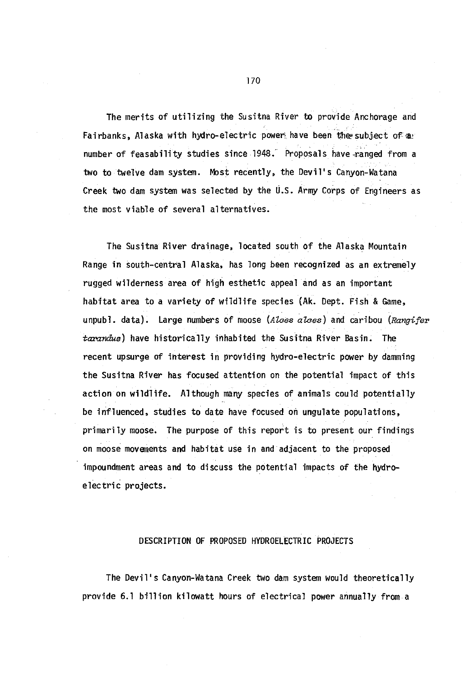The merits of utilizing the Susitna River to provide Anchorage and Fairbanks, Alaska with hydro-electric power, have been the subject of a: number of feasability studies since 1948. Proposals have ranged from a two to twelve dam system. Most recently, the Devil's Canyon-Watana Creek two dam system was selected by the U.S. Army Corps of Engineers as the most viable of several alternatives.

The Susitna River drainage, located south of the Alaska Mountain Range in south-central Alaska, has long been recognized as an extremely rugged wilderness area of high esthetic appeal and as an important habitat area to a variety of wildlife species (Ak. Dept. Fish & Game, unpubl. data). Large numbers of moose *(Alaes alaes)* and caribou *(Rangifer*  tarandus) have historically inhabited the Susitna River Basin. The recent upsurge of interest in providing hydro-electric power by damming the Susitna River has focused attention on the potential impact of this action on wildlife. Although many species of animals could potentially be influenced, studies to date have focused on ungulate populations, primarily moose. The purpose of this report is to present our findings on moose movements and habitat use in and adjacent to the proposed impoundment areas and to discuss the potential impacts of the hydroelectric projects.

#### DESCRIPTION OF PROPOSED HYDROELECTRIC PROJECTS

The Devil's Canyon-Watana Creek two dam system would theoretically provide 6.1 billion kilowatt hours of electrical power annually from a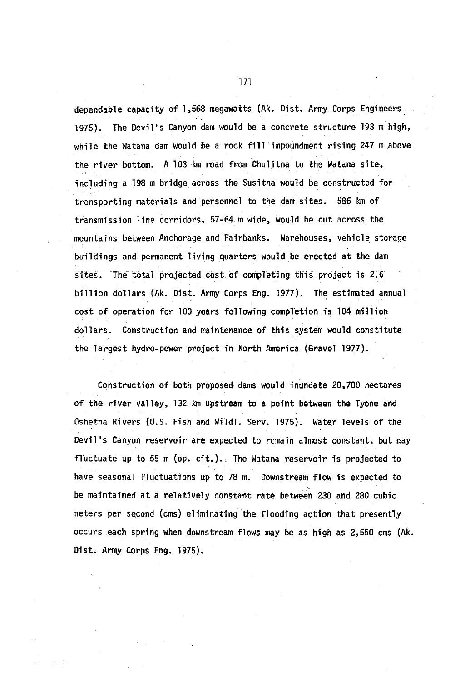dependable capacity of 1,568 megawatts {Ak. Dist. Army Corps Engineers 1975). The Devi1's Canyon dam would be a concrete structure 193m high, while the Watana dam would be a rock fill impoundment rising 247m above the river bottom. A 103 km road from Chulitna to the Watana site, including a 198 m bridge across the Susitna would be constructed for transporting materials and personnel to the dam sites. 586 km of transmission line corridors, 57-64 m wide, would be cut across the mountains between Anchorage and Fairbanks. Warehouses, vehicle storage buildings and permanent living quarters would be erected at the dam sites. The total projected cost. of completing this project is 2.6 billion dollars (Ak. Dist. Army Corps Eng. 1977). The estimated annual cost of operation for 100 years following completion is 104 million dollars. Construction and maintenance of this system would constitute the largest hydro-power project in North America (Gravel 1977).

Construction of both proposed dams would inundate 20,700 hectares of the river valley, 132 km upstream to a point between the Tyone and Oshetna Rivers (U.S. Fish and Wildl. Serv. 1975). Water levels of the Devil's Canyon reservoir are expected to remain almost constant, but may fluctuate up to 55 m (op. cit.). The Watana reservoir is projected to have seasonal fluctuations up to 78 m. Downstream flow is expected to be maintained at a relatively constant rate between 230 and 280 cubic meters per second (ems) eliminating the flooding action that presently occurs each spring when downstream flows may be as high as 2,550 ems (Ak. Dist. Army Corps Eng. 1975).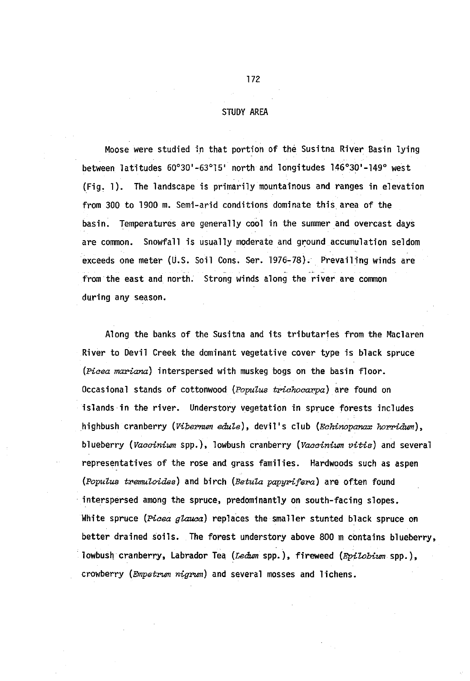## STUDY AREA

Moose were studied in that portion of the Susitna River Basin lying between latitudes 60°30'-63°15' north and longitudes 146°30'-149° west (Fig. 1). The landscape is primarily mountainous and ranges in elevation from 300 to 1900 m. Semi-arid conditions dominate this area of the basin. Temperatures are generally cool in the summer and overcast days are common. Snowfall is usually moderate and ground accumulation seldom exceeds one meter (U.S. Soil Cons. Ser. 1976-78). Prevailing winds are from the east and north. Strong winds along the river are common during any season.

Along the banks of the Susitna and its tributaries from the Maclaren River to Devil Creek the dominant vegetative cover type is black spruce *(Piaea* mariana) interspersed with muskeg bogs on the basin floor. Occasional stands of cottonwood *(PopuZus triahoaarpa)* are found on islands in the river. Understory vegetation in spruce forests includes highbush cranberry *(Vibernum edule)*, devil's club *(Echinopanax horridum)*, blueberry *(Vaaainium* spp.), lowbush cranberry *(Vaaainium vitis)* and several representatives of the rose and grass families. Hardwoods such as aspen *(Populus tremuloides)* and birch *(Betula papyrifera)* are often found interspersed among the spruce, predominantly on south-facing slopes. White spruce *(Piaea gZauaa)* replaces the smaller stunted black spruce on better drained soils. The forest understory above 800 m contains blueberry, lowbush cranberry, Labrador Tea *(Ledum* spp.), fireweed *(EpiZobium* spp.), crowberry (*Empetrum nigrum*) and several mosses and lichens.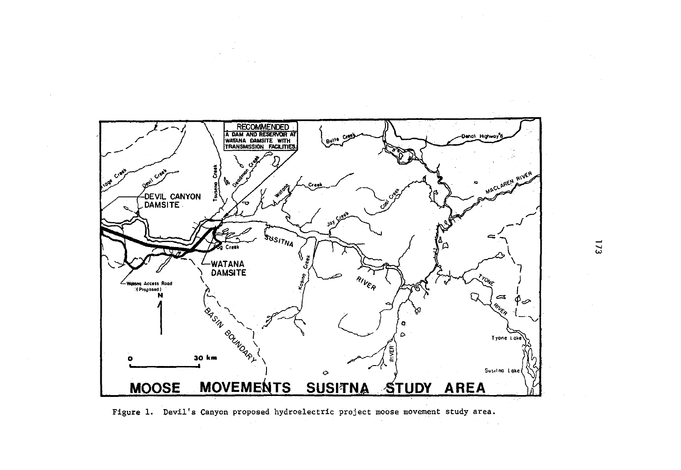

Figure 1. Devil's Canyon proposed hydroelectric project moose movement study area.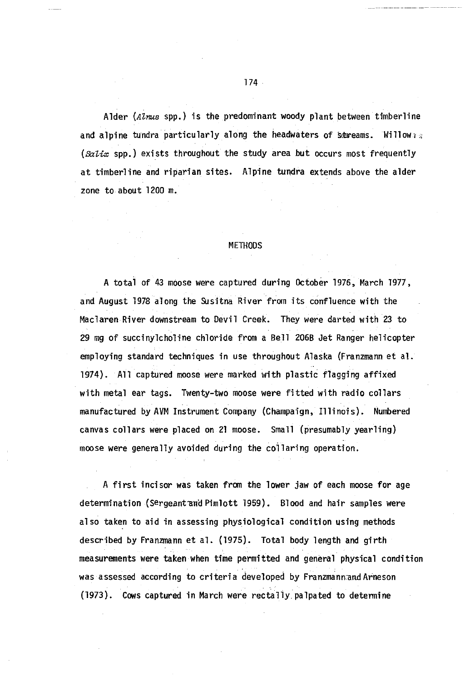Alder *(Alnus* spp.) is the predominant woody plant between timberline and alpine tundra particularly along the headwaters of streams. Willow  $\alpha$ *(salix* spp.) exists throughout the study area but occurs most frequently at timberline and riparian sites. Alpine tundra extends above the alder zone to about 1200 m.

#### METHODS

A totai of 43 moose were captured during October 1976, March 1977, and August 1978 along the Susitna River from its confluence with the Maclaren River downstream to Devil Creek. They were darted with 23 to 29 mg of succinylcholine chloride from a Bell 206B Jet Ranger helicopter employing standard techniques in use throughout Alaska {Franzmann et a1. 1974). All captured moose were marked with plastic flagging affixed with metal ear tags. Twenty-two moose were fitted with radio collars manufactured by AVM Instrument Company (Champaign, Illinois). Numbered canvas collars were placed on 21 moose. Small {presumably yearling) moose were generally avoided during the coilaring operation.

A first incisor was taken from the lower jaw of each moose for age determination (Sergeant and Pimlott 1959). Blood and hair samples were also taken to aid in assessing physiological condition using methods described by Franzmann et al. (1975). Total body length and girth measurements were taken when time permitted and general physical condition was assessed according to criteria developed by Franzmann.and Arneson {1973). Cows captured in March were rectally palpated to determine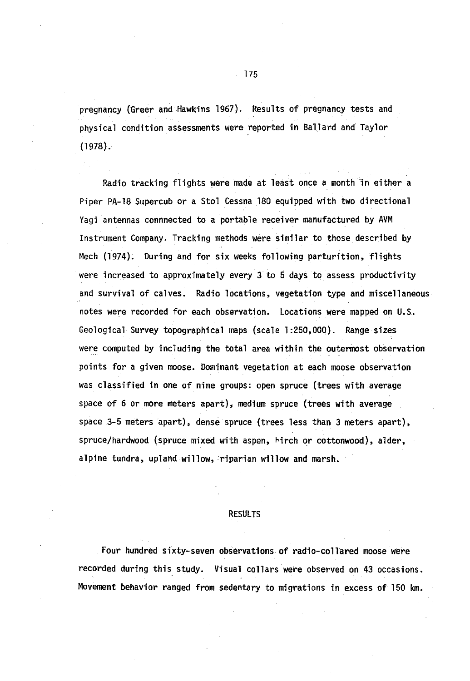pregnancy (Greer and Hawkins 1967). Results of pregnancy tests and physical condition assessments were reported in Ballard and Taylor (1978).

Radio tracking flights were made at least once a month 1n either a Piper PA-18 Supercub or a Stol Cessna 180 equipped with two directional Vagi antennas connnected to a portable receiver manufactured by AVM Instrument Company. Tracking methods were similar to those described by Mech (1974). During and for six weeks following parturition, flights were increased to approximately every 3 to 5 days to assess productivity and survival of calves. Radio locations, vegetation type and miscellaneous notes were recorded for each observation. Locations were mapped on U.S. Geological Survey topographical maps (scale 1:250,000). Range sizes were computed by including the total area within the outermost observation points for a given moose. Dominant vegetation at each moose observation was classified in one of nine groups: open spruce (trees with average space of 6 or more meters apart}, medium spruce (trees with average space 3-5 meters apart), dense spruce (trees less than 3 meters apart}, spruce/hardwood (spruce mixed with aspen, birch or cottonwood), alder, alpine tundra, upland willow, riparian willow and marsh.

## **RESULTS**

Four hundred sixty-seven observations of radio-collared moose were recorded during this study. Visual collars were observed on 43 occasions. Movement behavior ranged from sedentary to migrations in excess of 150 km.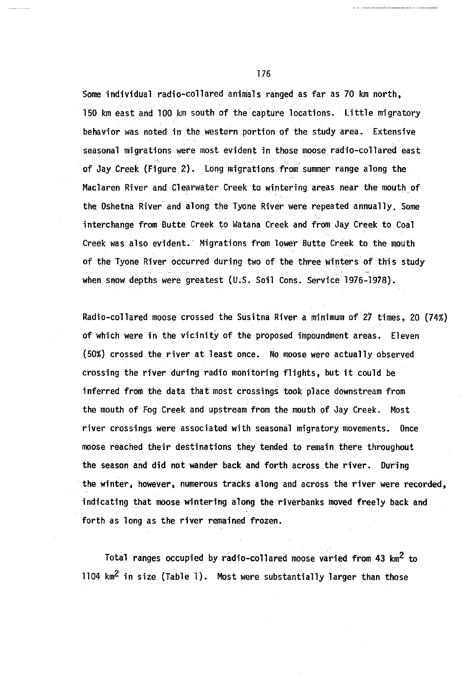Some individual radio-collared animals ranged as far as 70 km north, 150 km east and 100 km south of the capture locations. Little migratory behavior was noted in the western portion of the study area. · Extensive seasonal migrations were most evident in those moose radio-collared east of Jay Creek (Figure 2). Long migrations from. summer range along the Maclaren River and Clearwater Creek to wintering areas near the mouth of the Oshetna River and along the Tyone River were repeated annually, Some interchange from Butte Creek to Watana Creek and from Jay Creek to Coal Creek was also evident. Migrations from lower Butte Creek to the mouth of the Tyone River occurred during two of the three winters of this study when snow depths were greatest (U.S. Soil Cons. Service 1976-1978).

Radio-collared moose crossed the Susitna River a minimum of 27 times, 20 (74%) of which were in the vicinity of the proposed impoundment areas. Eleven (50%) crossed the river at least once. No moose were actually observed crossing the river during radio monitoring flights, but it could be inferred from the data that most crossings took place downstream from the mouth of Fog Creek and upstream from the mouth of Jay Creek. Most river crossings were associated with seasonal migratory movements. Once moose reached their destinations they tended to remain there throughout the season and did not wander back and forth across the river. During the winter, however, numerous tracks along and across the river were recorded, indicating that moose wintering along the riverbanks moved freely back and forth as long as the river remained frozen.

Total ranges occupied by radio-collared moose varied from 43 km2 to 1104  $km^2$  in size (Table 1). Most were substantially larger than those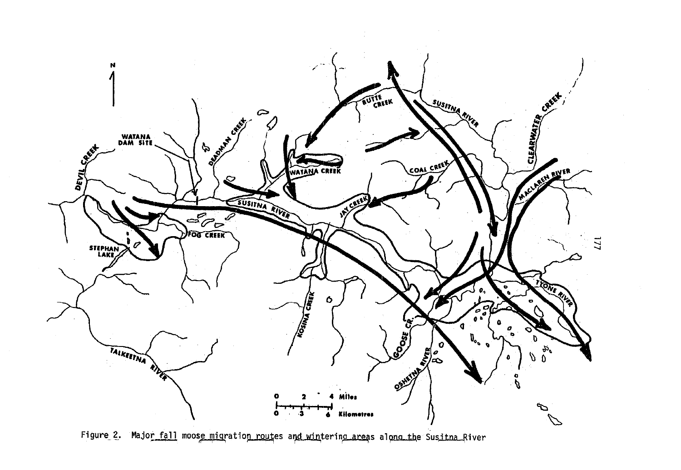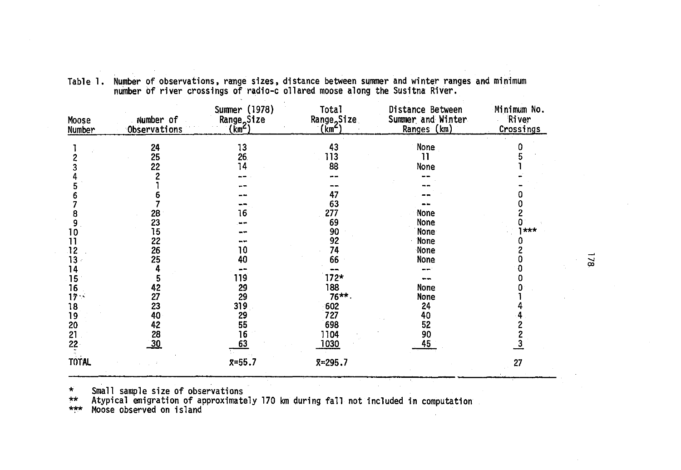| Moose<br>Number              | Number of<br>Observations | Summer (1978)<br><b>Range</b> <sub>2</sub> Size<br>(km≦) | Total<br>Range <sub>o</sub> Size<br>(km <sup>2</sup> ) | Distance Between<br>Summer and Winter<br>Ranges (km) | Minimum No.<br>River<br>Crossings |           |
|------------------------------|---------------------------|----------------------------------------------------------|--------------------------------------------------------|------------------------------------------------------|-----------------------------------|-----------|
|                              | $\frac{24}{25}$<br>22     | 13<br>26<br>14                                           | 43<br>113<br>88                                        | None<br>11<br>None                                   |                                   |           |
|                              |                           |                                                          | 47<br>63                                               |                                                      |                                   |           |
| 10                           | 28<br>23<br>15            | 16                                                       | 277<br>69<br>90                                        | None<br>None<br>None                                 | ***                               |           |
| 11<br>12<br>13               | 22<br>26<br>25            | 10<br>40                                                 | 92<br>74<br>66                                         | None<br>None<br>None                                 |                                   | $\approx$ |
| 14<br>15<br>16<br>$17 -$     | 5<br>42<br>27             | 119<br>29<br>29                                          | $172*$<br>188<br>$76***$ .                             | <br>--<br>None<br>None                               |                                   |           |
| 18<br>19<br>20               | 23<br>40<br>42<br>28      | 319<br>29<br>55                                          | 602<br>727<br>698                                      | 24<br>40<br>52                                       |                                   |           |
| 21<br>$22 -$<br><b>TOTAL</b> | 30                        | 16<br>63<br>$x=55.7$                                     | 1104<br>1030<br>$x = 295.7$                            | 90<br>45                                             |                                   |           |
|                              |                           |                                                          |                                                        |                                                      | 27                                |           |

Tablel. Number of observations, range sizes, distance between summer and winter ranges and minimum number of river crossings of radio-c ollared moose along the Susitna River.

\* Small sample size of observations

\*\* Atypical emigration of approximately 170 km during fall not included in computation \*\*\* Moose observed on island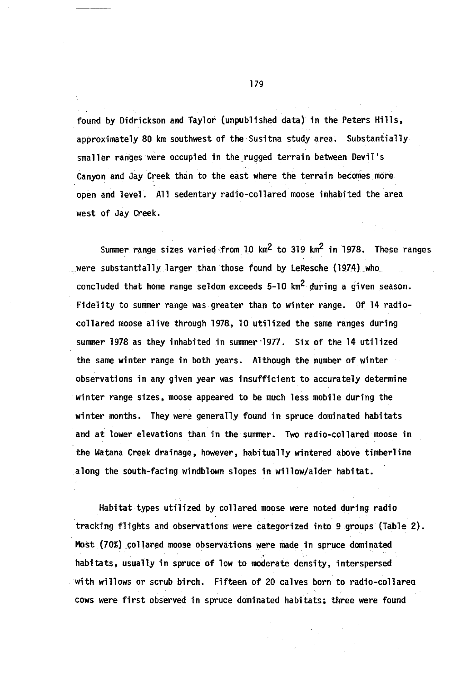found by Didrickson and Taylor (unpublished data) in the Peters Hills, approximately 80 km southwest of the Susitna study area. Substantiallysmaller ranges were occupied in the rugged terrain between Devil's Canyon and Jay Creek than to the east where the terrain becomes more open and level. All sedentary radio-collared moose inhabited the area west of Jay Creek.

Summer range sizes varied from 10  $\text{km}^2$  to 319  $\text{km}^2$  in 1978. These ranges \_were substantially larger than those found by LeResche (1974) \_who concluded that home range seldom exceeds  $5-10$  km<sup>2</sup> during a given season. Fidelity to summer range was greater than to winter range. Of 14 radiocollared moose alive through 1978, 10 utilized the same ranges during summer 1978 as they inhabited in summer 1977. Six of the 14 utilized the same winter range in both years. Aithough the number of winter observations in any given year was insufficient to- accurately determine winter range sizes, moose appeared to be much less mobile during the winter months. They were generally found in spruce dominated habitats and at lower elevations than in the-summer. Two radio-collared moose in the Watana Creek drainage, however, habitually wintered above timberline along the south-facing windblown slopes in willow/alder habitat.

Habitat types utilized by collared moose were noted during radio tracking flights and observations were categorized into 9 groups (Table 2). Most (70%) collared moose observations were made in spruce dominated habitats, usually in spruce of low to moderate density, interspersed with willows or scrub birch. Fifteen of 20 calves born to radio-collarea cows were first observed in spruce dominated habitats; three were found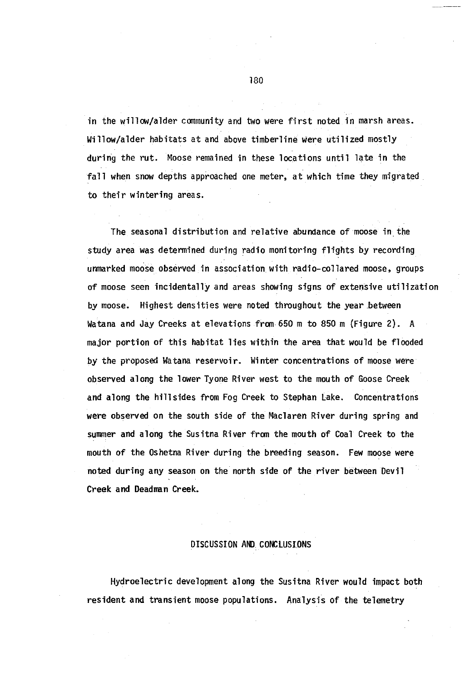in the willow/alder community and two were first noted in marsh areas. Willow/alder habitats at and above timberline Were utilized mostly during the rut. Moose remained in these locations until late in the fall when snow depths approached one meter, at which time they migrated to their wintering areas.

The seasonal distribution and relative abundance of moose in\_ the study area was determined during radio monitoring flights by recording unmarked moose observed in association with radio-collared moose, groups of moose seen incidentally and areas showing signs of extensive utilization by moose. Highest densities were noted throughout the year between Watana and Jay Creeks at elevations from 650 m to 850 m (Figure 2). A major portion of this habitat lies within the area that would be flooded by the proposed Watana reservoir. Winter concentrations of moose were observed along the lower Tyone River west to the mouth of Goose Creek and along the hillsides from Fog Creek to Stephan lake. Concentrations were observed on the south side of the Maclaren River during spring and summer and along the Susitna River from the mouth of Coal Creek to the mouth of the Oshetna River during the breeding season. Few moose were noted during any season on the north side of the river between Devil Creek and Deadman Creek.

# DISCUSSION AND. CONCLUSIONS

Hydroelectric development along the Susitna River would impact both resident and transient moose populations. Analysis of the telemetry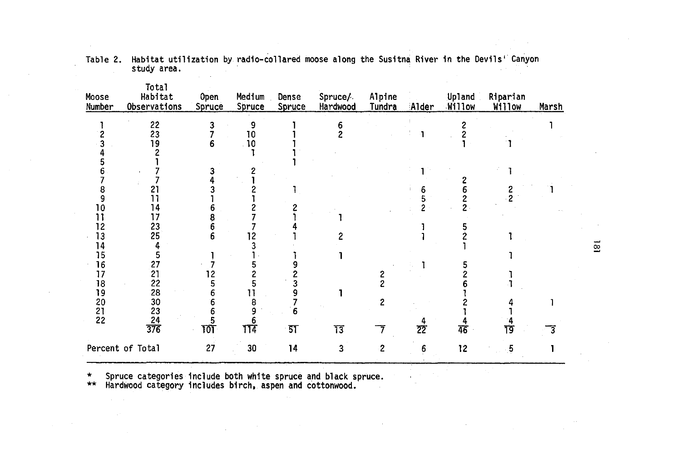| Moose<br>Number       | <b>Total</b><br>Habitat<br>Observations | Open<br>Spruce | Medium<br>Spruce | Dense<br>Spruce | Spruce/<br>Hardwood           | Alpine<br>Tundra | Alder           | Upland<br>Willow | Riparian<br>Willow | Marsh |                               |
|-----------------------|-----------------------------------------|----------------|------------------|-----------------|-------------------------------|------------------|-----------------|------------------|--------------------|-------|-------------------------------|
|                       | 22<br>23                                |                | 9<br>10          |                 | 6<br>$\overline{\phantom{a}}$ |                  | J.              | 2                |                    |       |                               |
|                       | 19                                      | 6              | 10               |                 |                               |                  |                 |                  |                    |       |                               |
|                       |                                         |                |                  |                 |                               |                  |                 |                  |                    |       |                               |
|                       |                                         |                |                  |                 |                               |                  |                 |                  |                    |       |                               |
|                       |                                         |                |                  |                 |                               |                  |                 |                  |                    |       |                               |
| 8                     | 21                                      |                |                  |                 |                               |                  | 6               |                  |                    |       |                               |
| 9                     | ן ו                                     |                |                  |                 |                               |                  |                 |                  |                    |       |                               |
| 10                    | 14                                      |                |                  |                 |                               |                  |                 |                  |                    |       |                               |
| 11                    | 17                                      |                |                  |                 |                               |                  |                 |                  |                    |       |                               |
| 12                    | 23                                      |                |                  |                 |                               |                  |                 |                  |                    |       |                               |
| 13                    | 25                                      |                | 12               |                 |                               |                  |                 |                  |                    |       |                               |
| 14                    |                                         |                |                  |                 |                               |                  |                 |                  |                    |       | $\mathbf{\underline{\infty}}$ |
| 15                    | 5                                       |                |                  |                 |                               |                  |                 |                  |                    |       |                               |
| 16                    | 27                                      |                |                  |                 |                               |                  |                 |                  |                    |       |                               |
| 17                    | $\frac{21}{22}$<br>28                   |                |                  |                 |                               | 2                |                 |                  |                    |       |                               |
| 18                    |                                         |                |                  |                 |                               |                  |                 |                  |                    |       |                               |
| 19                    |                                         |                |                  |                 |                               |                  |                 |                  |                    |       |                               |
|                       |                                         |                | 8                |                 |                               | $\overline{c}$   |                 |                  |                    |       |                               |
| $\frac{20}{21}$<br>22 |                                         |                |                  | 6               |                               |                  |                 |                  |                    |       |                               |
|                       | $\frac{30}{23}$<br>$\frac{23}{276}$     | ᠋ប             | 114              | - 5T            | 73                            |                  | $\overline{22}$ | 46               | 19                 | 3     |                               |
|                       | Percent of Total                        | 27             | 30               | 14              | 3                             | 2                | 6               | 12               | 5                  |       |                               |

Table 2. Habitat utilization by radio-collared moose along the Susitna River in the Devils' Canyon<br>study area.

\* Spruce categories include both white spruce and black spruce. \*\* Hardwood category includes birch, aspen and cottonwood.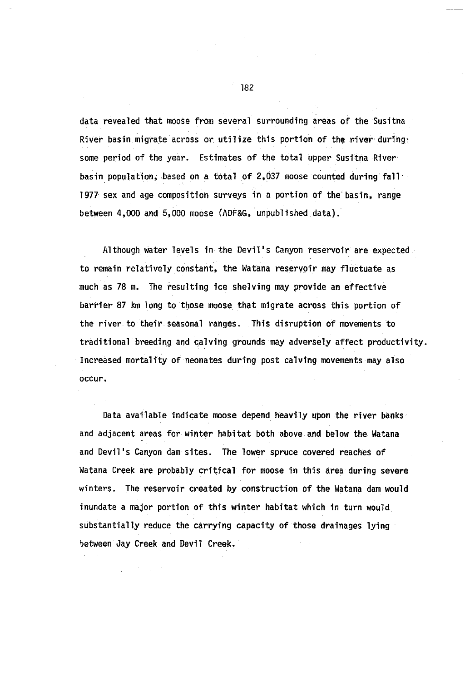data revealed that moose from several surrounding areas of the Susitna River basin migrate across or utilize this portion of the river during. some period of the year. Estimates of the total upper Susitna River basin population, based on a total of 2,037 moose counted during fall 1977 sex and age composition surveys in a portion of the'basin, range between 4,000 and 5,000 moose (ADF&G, unpublished data).

Although water levels in the Devil's Canyon reservoir are expected to remain relatively constant, the Watana reservoir may fluctuate as much as 78 m. The resulting ice shelving may provide an effective barrier 87 km long to those moose that migrate across this portion of the river to their seasonal ranges. This disruption of movements to traditional breeding and calving grounds may adversely affect productivity. Increased mortality of neonates during post calving movements may also occur.

Data available indicate moose depend heavily upon the river banks and adjacent areas for winter habitat both above and below the Watana and Devil's Canyon dam·sites. The lower spruce covered reaches of Watana Creek are probably critical for moose in this area during severe winters. The reservoir created by construction of the Watana dam would inundate a major portion of this winter habitat which in turn would substantially reduce the carrying capacity of those drainages lying between Jay Creek and Devil Creek.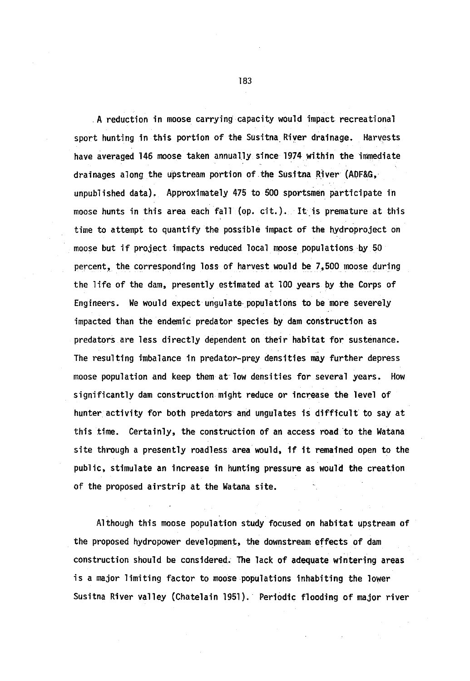.A reduction in moose carrying capacity would impact recreational sport hunting in this portion of the Susitna River drainage. Harvests have averaged 146 moose taken annually since 1974 within the immediate drainages along the upstream portion of the Susitna River (ADF&G, unpublished data). Approximately 475 to 500 sportsmen participate in moose hunts in this area each fall (op. cit.). It.is premature at this time to attempt to quantify the possible impact of the hydroproject on moose but if project impacts reduced local moose populations by <sup>50</sup> percent, the corresponding loss of harvest would be 7,500 moose during the life of the dam, presently estimated at 100 years by the Corps of Engineers. We would expect ungulate populations to be more severely impacted than the endemic predator species by dam construction as predators are less directly dependent on their habitat for sustenance. The resulting imbalance in predator-prey densities may further depress moose population and keep them at· low densities for several years. How significantly dam construction.might reduce or increase the level of hunter activity for both predators and ungulates is difficult to say at this time. Certainly, the construction of an access road to the Watana site through a presently roadless area would, if it remained open to the public, stimulate an increase in hunting pressure as would the creation of the proposed airstrip at the Watana site.

Although this moose population study focused on habitat upstream of the proposed hydropower development, the downstream effects of dam construction should be considered; The lack of adequate wintering areas is a major limiting factor to moose populations inhabiting the lower Susitna River valley (Chatelain 1951). Periodic flooding of major river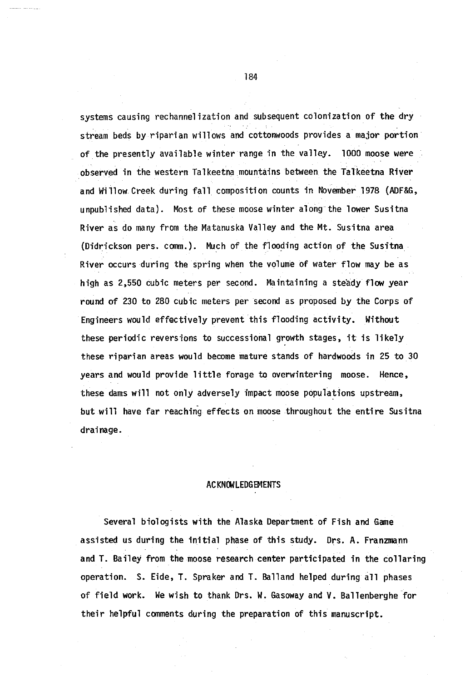systems causing rechannelization and subsequent colonization of the dry stream beds by riparian willows and cottonwoods provides a major portion of the presently available winter range in the valley. 1000 moose were observed in the western Talkeetna mountains between the Talkeetna River and Willow Creek during fall composition counts in November 1978 (ADF&G, unpublished data). Most of these moose winter along the lower Susitna River as do many from the Matanuska Valley and the Mt. Susitna area (Didrickson pers. comm.). Much of the flooding action of the Susitna River occurs during the spring when the volume of water flow may be as high as 2,550 cubic meters per second. Maintaining a steady flow year round of 230 to 280 cubic meters per second as proposed by the Corps of Engineers would effectively prevent this flooding activity. Without these periodic reversions to successional growth stages, it is likely these riparian areas would become mature stands of hardwoods in 25 to 30 years and would provide little forage to overwintering moose. Hence, these dams will not only adversely impact moose populations upstream, but will have far reaching effects on moose throughout the entire Susitna drainage.

# ACKNOWLEDGEMENTS

Several biologists with the Alaska Department of Fish and Game assisted us during the initial phase of this study. Drs. A. Franzmann and T. Bailey from the moose research center participated in the collaring operation. S. Eide, T. Spraker and T. Balland helped during all phases of field work. We wish to thank Drs. W. Gasaway and V. Ballenberghe for their helpful comments during the preparation of this manuscript.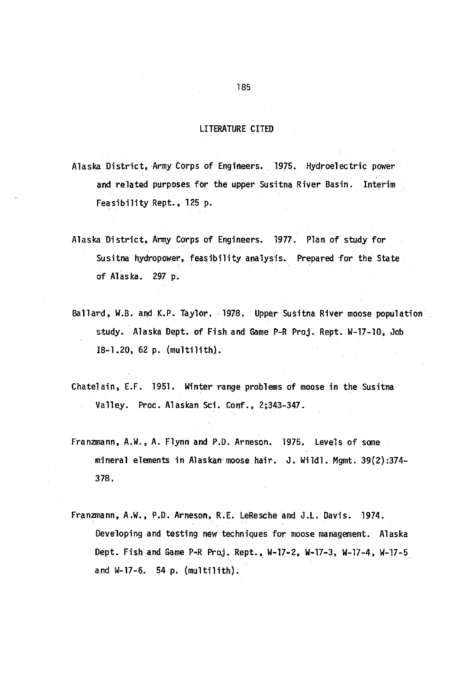# LITERATURE CITED

Alaska District, Army Corps of Engineers. 1975. Hydroelectric power and related purposes for the upper Susitna River Basin. Interim Feasibility Rept., 125 p.

- Alaska District, Army Corps of Engineers. 1977. Plan of study for Susitna hydropower, feasibility analysis. Prepared for the State of Alaska. 297 p.
- Ballard, W.B. and K.P. Taylor. 1978. Upper Susitna River moose population study. Alaska Dept. of Fish and Game P-R Proj. Rept. W-17-10, Job IB-1.20, 62 p. (multilith).
- Chatelain, E.F. 1951. Winter range problems of moose in the Susitna Valley. Proc. Alaskan Sci. Conf., 2;343-347.
- Franzmann, A.W., A. Flynn and P.D. Arneson. 1975. Levels of some mineral elements in Alaskan moose hair. J. Wildl. Mgmt. 39(2):374-378.
- Franzmann, A.W., P.D. Arneson, R.E. LeResche and J.L. Davis. 1974. Developing and testing new techniques for moose management. Alaska Dept. Fish and Game P-R Proj. Rept., W-17-2, W-17-3, W-17-4, W-17-5 and W-17-6. 54 p. (multilith).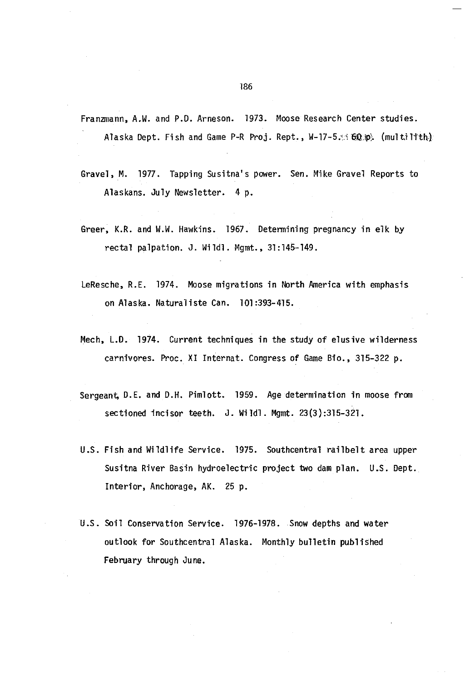Franzmann, A.W. and P.D. Arneson. 1973. Moose Research Center studies. Alaska Dept. Fish and Game P-R Proj. Rept., W-17-5.:1 60.p) (multilith)

- Gravel, M. 1977. Tapping Susitna's power. Sen. Mike Gravel Reports to Alaskans. July Newsletter. 4 p.
- Greer, K.R. and W.W. Hawkins. 1967. Determining pregnancy in elk by rectal palpation. J. Wildl. Mgmt., 31:145-149.
- LeResche, R.E. 1974. Moose migrations in North America with emphasis on Alaska. Naturaliste Can. 101:393-415.
- Mech, L.D. 1974. Current techniques in the study of elusive wilderness carnivores. Proc. XI Internat. Congress of Game Bio., 315-322 p.
- Sergeant, D.E. and D.H. Pimlott. 1959. Age determination in moose from sectioned incisor teeth. J. Wildl. Mgmt. 23(3) :315-321.
- U.S. Fish and Wildlife Service. 1975. Southcentral railbelt area upper Susitna River Basin hydroelectric project two dam plan. U.S. Dept. Interior, Anchorage, AK. 25 p.
- U.S. Soil Conservation Service. 1976-1978. Snow depths and water outlook for Southcentral Alaska. Monthly bulletin publiShed February through June.